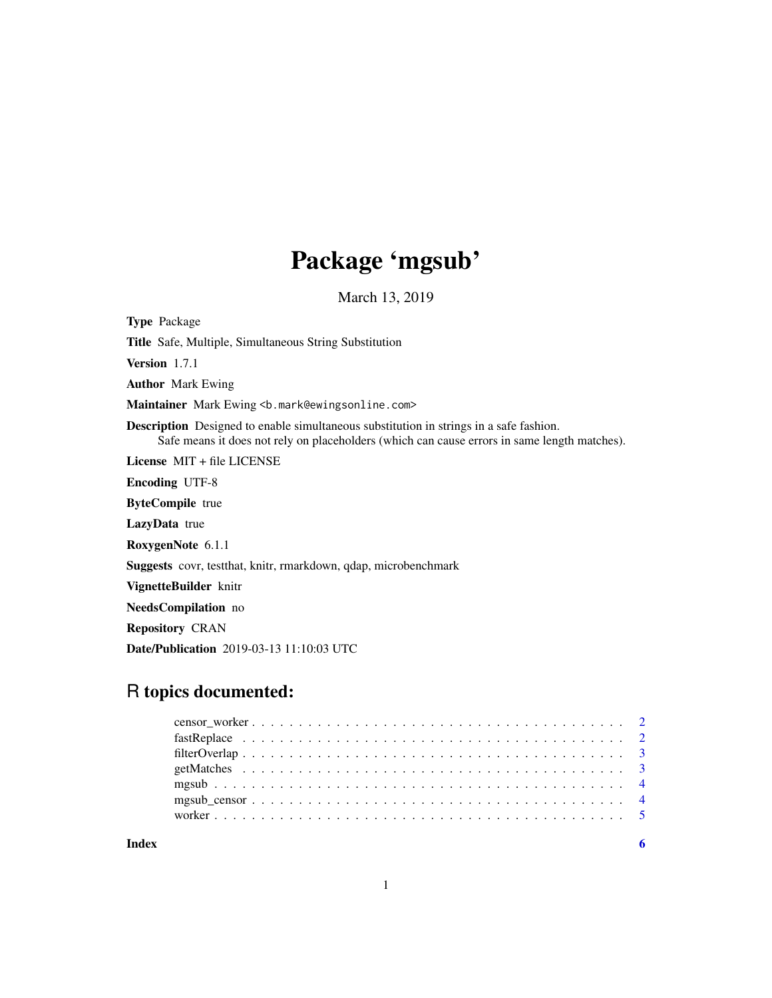# Package 'mgsub'

March 13, 2019

<span id="page-0-0"></span>

| <b>Type Package</b>                                                                                                                                                                           |
|-----------------------------------------------------------------------------------------------------------------------------------------------------------------------------------------------|
| <b>Title</b> Safe, Multiple, Simultaneous String Substitution                                                                                                                                 |
| Version 1.7.1                                                                                                                                                                                 |
| <b>Author</b> Mark Ewing                                                                                                                                                                      |
| Maintainer Mark Ewing <b. mark@ewingsonline.com=""></b.>                                                                                                                                      |
| <b>Description</b> Designed to enable simultaneous substitution in strings in a safe fashion.<br>Safe means it does not rely on placeholders (which can cause errors in same length matches). |
| License $MIT + file LICENSE$                                                                                                                                                                  |
| <b>Encoding UTF-8</b>                                                                                                                                                                         |
| <b>ByteCompile</b> true                                                                                                                                                                       |
| LazyData true                                                                                                                                                                                 |
| RoxygenNote 6.1.1                                                                                                                                                                             |
| <b>Suggests</b> covr, test that, knitr, rmarkdown, q dap, microbenchmark                                                                                                                      |
| VignetteBuilder knitr                                                                                                                                                                         |
| NeedsCompilation no                                                                                                                                                                           |
| <b>Repository CRAN</b>                                                                                                                                                                        |
| <b>Date/Publication</b> 2019-03-13 11:10:03 UTC                                                                                                                                               |

# R topics documented: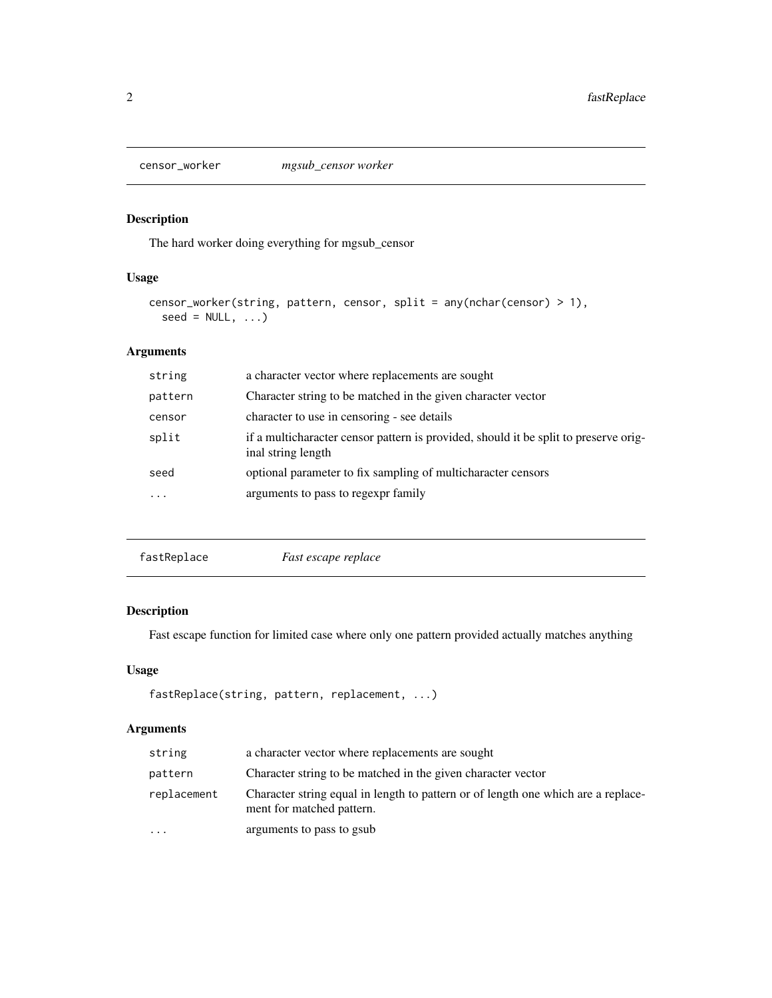<span id="page-1-0"></span>

# Description

The hard worker doing everything for mgsub\_censor

# Usage

```
censor_worker(string, pattern, censor, split = any(nchar(censor) > 1),
  seed = NULL, ...
```
# Arguments

| string  | a character vector where replacements are sought                                                           |
|---------|------------------------------------------------------------------------------------------------------------|
| pattern | Character string to be matched in the given character vector                                               |
| censor  | character to use in censoring - see details                                                                |
| split   | if a multicharacter censor pattern is provided, should it be split to preserve orig-<br>inal string length |
| seed    | optional parameter to fix sampling of multicharacter censors                                               |
| .       | arguments to pass to regexpr family                                                                        |
|         |                                                                                                            |

fastReplace *Fast escape replace*

# Description

Fast escape function for limited case where only one pattern provided actually matches anything

# Usage

```
fastReplace(string, pattern, replacement, ...)
```
# Arguments

| string      | a character vector where replacements are sought                                                               |
|-------------|----------------------------------------------------------------------------------------------------------------|
| pattern     | Character string to be matched in the given character vector                                                   |
| replacement | Character string equal in length to pattern or of length one which are a replace-<br>ment for matched pattern. |
| $\ddotsc$   | arguments to pass to gsub                                                                                      |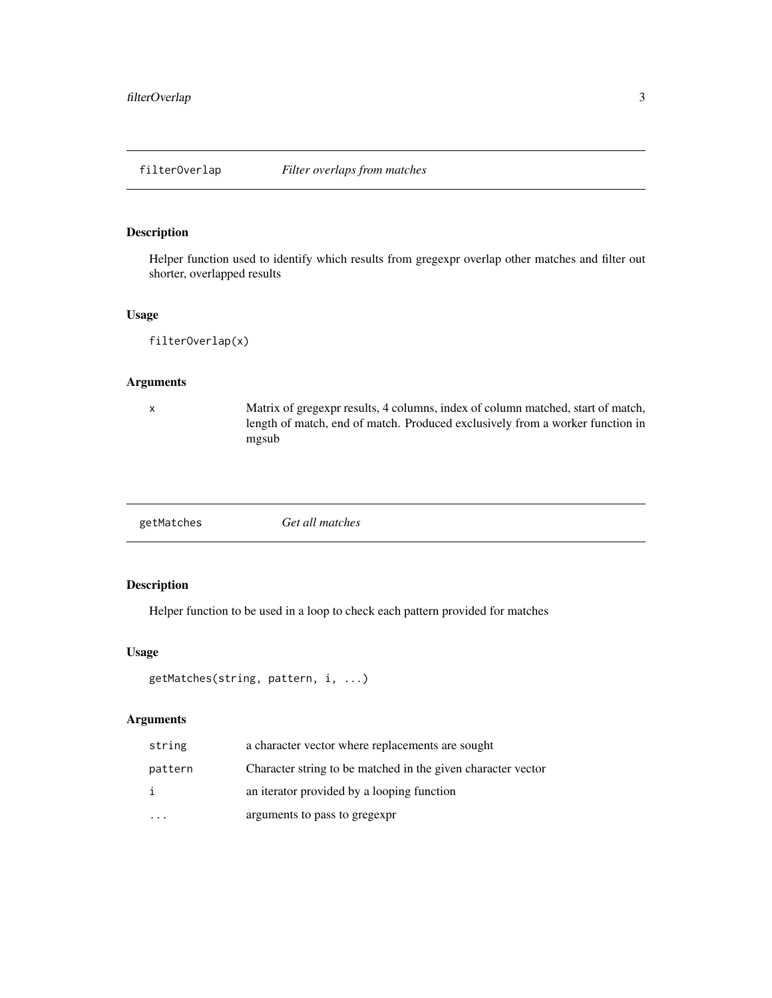<span id="page-2-0"></span>

#### Description

Helper function used to identify which results from gregexpr overlap other matches and filter out shorter, overlapped results

#### Usage

filterOverlap(x)

#### Arguments

x Matrix of gregexpr results, 4 columns, index of column matched, start of match, length of match, end of match. Produced exclusively from a worker function in mgsub

| Get all matches |
|-----------------|
|                 |

# Description

Helper function to be used in a loop to check each pattern provided for matches

#### Usage

```
getMatches(string, pattern, i, ...)
```
# Arguments

| string  | a character vector where replacements are sought             |
|---------|--------------------------------------------------------------|
| pattern | Character string to be matched in the given character vector |
| i       | an iterator provided by a looping function                   |
|         | arguments to pass to gregexpr                                |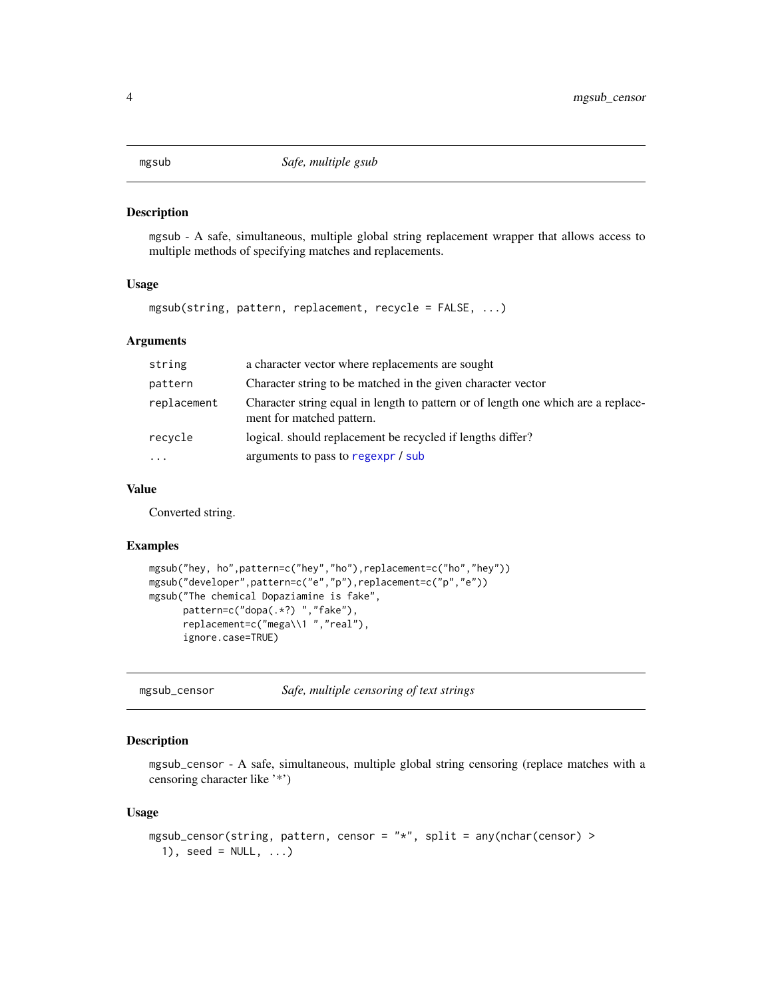<span id="page-3-0"></span>mgsub *Safe, multiple gsub*

#### Description

mgsub - A safe, simultaneous, multiple global string replacement wrapper that allows access to multiple methods of specifying matches and replacements.

#### Usage

mgsub(string, pattern, replacement, recycle = FALSE, ...)

# Arguments

| string      | a character vector where replacements are sought                                                               |
|-------------|----------------------------------------------------------------------------------------------------------------|
| pattern     | Character string to be matched in the given character vector                                                   |
| replacement | Character string equal in length to pattern or of length one which are a replace-<br>ment for matched pattern. |
| recycle     | logical, should replacement be recycled if lengths differ?                                                     |
| $\ddotsc$   | arguments to pass to regexpr / sub                                                                             |

#### Value

Converted string.

#### Examples

```
mgsub("hey, ho",pattern=c("hey","ho"),replacement=c("ho","hey"))
mgsub("developer",pattern=c("e","p"),replacement=c("p","e"))
mgsub("The chemical Dopaziamine is fake",
      pattern=c("dopa(.*?) ","fake"),
      replacement=c("mega\\1 ","real"),
      ignore.case=TRUE)
```
mgsub\_censor *Safe, multiple censoring of text strings*

# Description

mgsub\_censor - A safe, simultaneous, multiple global string censoring (replace matches with a censoring character like '\*')

#### Usage

```
mgsub_censor(string, pattern, censor = "*", split = any(nchar(censor) >
 1), seed = NULL, ...)
```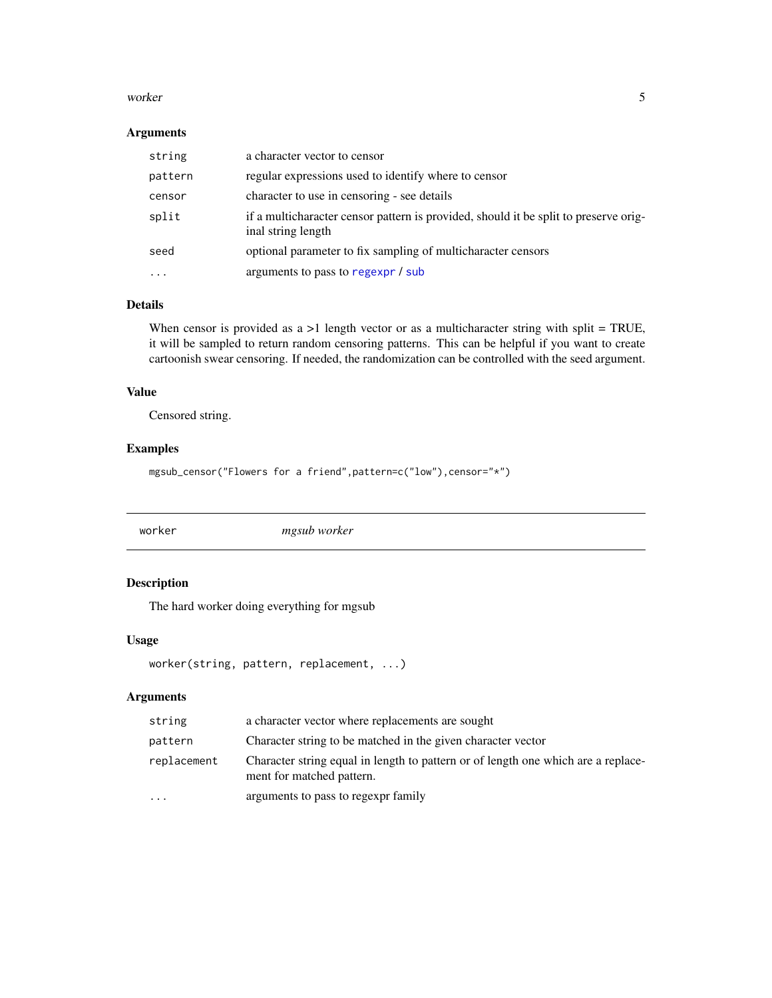#### <span id="page-4-0"></span>worker 5

#### Arguments

| string  | a character vector to censor                                                                               |
|---------|------------------------------------------------------------------------------------------------------------|
| pattern | regular expressions used to identify where to censor                                                       |
| censor  | character to use in censoring - see details                                                                |
| split   | if a multicharacter censor pattern is provided, should it be split to preserve orig-<br>inal string length |
| seed    | optional parameter to fix sampling of multicharacter censors                                               |
|         | arguments to pass to regexpr / sub                                                                         |

# Details

When censor is provided as  $a > 1$  length vector or as a multicharacter string with split = TRUE, it will be sampled to return random censoring patterns. This can be helpful if you want to create cartoonish swear censoring. If needed, the randomization can be controlled with the seed argument.

#### Value

Censored string.

#### Examples

mgsub\_censor("Flowers for a friend",pattern=c("low"),censor="\*")

worker *mgsub worker*

# Description

The hard worker doing everything for mgsub

# Usage

worker(string, pattern, replacement, ...)

# Arguments

| string      | a character vector where replacements are sought                                                               |
|-------------|----------------------------------------------------------------------------------------------------------------|
| pattern     | Character string to be matched in the given character vector                                                   |
| replacement | Character string equal in length to pattern or of length one which are a replace-<br>ment for matched pattern. |
| .           | arguments to pass to regexpr family                                                                            |